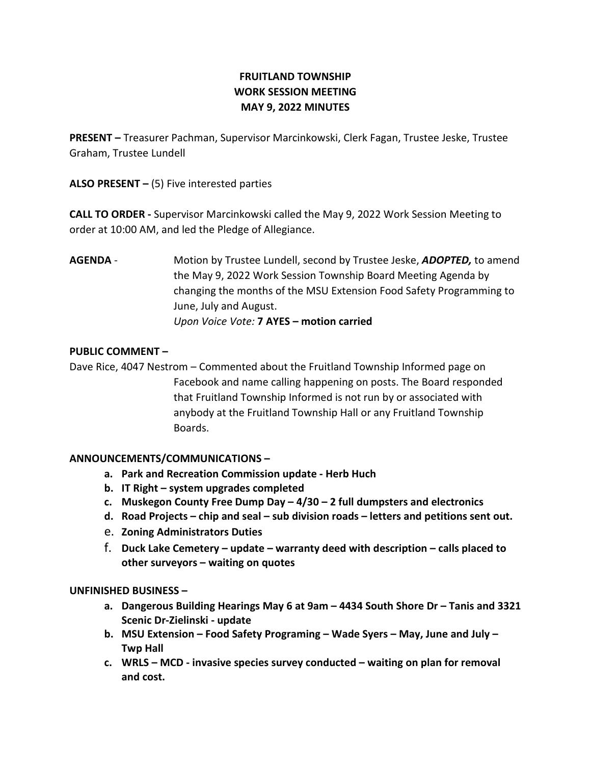# FRUITLAND TOWNSHIP WORK SESSION MEETING MAY 9, 2022 MINUTES

PRESENT – Treasurer Pachman, Supervisor Marcinkowski, Clerk Fagan, Trustee Jeske, Trustee Graham, Trustee Lundell

ALSO PRESENT  $-$  (5) Five interested parties

CALL TO ORDER - Supervisor Marcinkowski called the May 9, 2022 Work Session Meeting to order at 10:00 AM, and led the Pledge of Allegiance.

AGENDA - Motion by Trustee Lundell, second by Trustee Jeske, ADOPTED, to amend the May 9, 2022 Work Session Township Board Meeting Agenda by changing the months of the MSU Extension Food Safety Programming to June, July and August. Upon Voice Vote: 7 AYES – motion carried

### PUBLIC COMMENT –

Dave Rice, 4047 Nestrom – Commented about the Fruitland Township Informed page on Facebook and name calling happening on posts. The Board responded that Fruitland Township Informed is not run by or associated with anybody at the Fruitland Township Hall or any Fruitland Township Boards.

## ANNOUNCEMENTS/COMMUNICATIONS –

- a. Park and Recreation Commission update Herb Huch
- b. IT Right system upgrades completed
- c. Muskegon County Free Dump Day  $-4/30 2$  full dumpsters and electronics
- d. Road Projects chip and seal sub division roads letters and petitions sent out.
- e. Zoning Administrators Duties
- f. Duck Lake Cemetery update warranty deed with description calls placed to other surveyors – waiting on quotes

#### UNFINISHED BUSINESS –

- a. Dangerous Building Hearings May 6 at 9am 4434 South Shore Dr Tanis and 3321 Scenic Dr-Zielinski - update
- b. MSU Extension Food Safety Programing Wade Syers May, June and July Twp Hall
- c. WRLS MCD invasive species survey conducted waiting on plan for removal and cost.